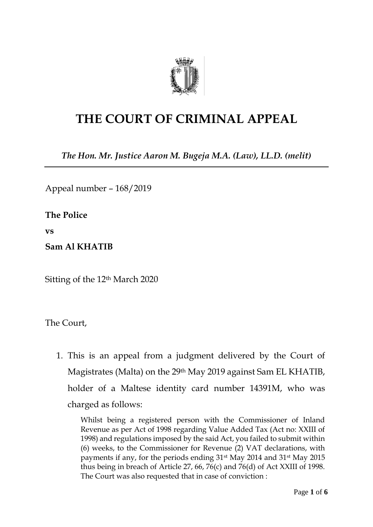

## **THE COURT OF CRIMINAL APPEAL**

*The Hon. Mr. Justice Aaron M. Bugeja M.A. (Law), LL.D. (melit)*

Appeal number – 168/2019

**The Police**

**vs**

**Sam Al KHATIB**

Sitting of the 12th March 2020

The Court,

1. This is an appeal from a judgment delivered by the Court of Magistrates (Malta) on the 29th May 2019 against Sam EL KHATIB, holder of a Maltese identity card number 14391M, who was charged as follows:

Whilst being a registered person with the Commissioner of Inland Revenue as per Act of 1998 regarding Value Added Tax (Act no: XXIII of 1998) and regulations imposed by the said Act, you failed to submit within (6) weeks, to the Commissioner for Revenue (2) VAT declarations, with payments if any, for the periods ending 31st May 2014 and 31st May 2015 thus being in breach of Article 27, 66, 76(c) and 76(d) of Act XXIII of 1998. The Court was also requested that in case of conviction :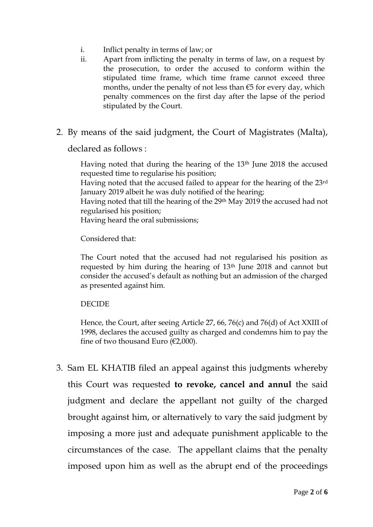- i. Inflict penalty in terms of law; or
- ii. Apart from inflicting the penalty in terms of law, on a request by the prosecution, to order the accused to conform within the stipulated time frame, which time frame cannot exceed three months, under the penalty of not less than  $\epsilon$ 5 for every day, which penalty commences on the first day after the lapse of the period stipulated by the Court.
- 2. By means of the said judgment, the Court of Magistrates (Malta),

declared as follows :

Having noted that during the hearing of the 13<sup>th</sup> June 2018 the accused requested time to regularise his position;

Having noted that the accused failed to appear for the hearing of the 23rd January 2019 albeit he was duly notified of the hearing;

Having noted that till the hearing of the 29th May 2019 the accused had not regularised his position;

Having heard the oral submissions;

Considered that:

The Court noted that the accused had not regularised his position as requested by him during the hearing of 13th June 2018 and cannot but consider the accused's default as nothing but an admission of the charged as presented against him.

## DECIDE

Hence, the Court, after seeing Article 27, 66, 76(c) and 76(d) of Act XXIII of 1998, declares the accused guilty as charged and condemns him to pay the fine of two thousand Euro ( $\epsilon$ 2,000).

3. Sam EL KHATIB filed an appeal against this judgments whereby this Court was requested **to revoke, cancel and annul** the said judgment and declare the appellant not guilty of the charged brought against him, or alternatively to vary the said judgment by imposing a more just and adequate punishment applicable to the circumstances of the case. The appellant claims that the penalty imposed upon him as well as the abrupt end of the proceedings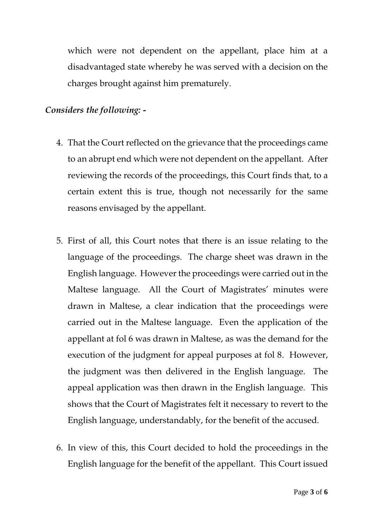which were not dependent on the appellant, place him at a disadvantaged state whereby he was served with a decision on the charges brought against him prematurely.

## *Considers the following: -*

- 4. That the Court reflected on the grievance that the proceedings came to an abrupt end which were not dependent on the appellant. After reviewing the records of the proceedings, this Court finds that, to a certain extent this is true, though not necessarily for the same reasons envisaged by the appellant.
- 5. First of all, this Court notes that there is an issue relating to the language of the proceedings. The charge sheet was drawn in the English language. However the proceedings were carried out in the Maltese language. All the Court of Magistrates' minutes were drawn in Maltese, a clear indication that the proceedings were carried out in the Maltese language. Even the application of the appellant at fol 6 was drawn in Maltese, as was the demand for the execution of the judgment for appeal purposes at fol 8. However, the judgment was then delivered in the English language. The appeal application was then drawn in the English language. This shows that the Court of Magistrates felt it necessary to revert to the English language, understandably, for the benefit of the accused.
- 6. In view of this, this Court decided to hold the proceedings in the English language for the benefit of the appellant. This Court issued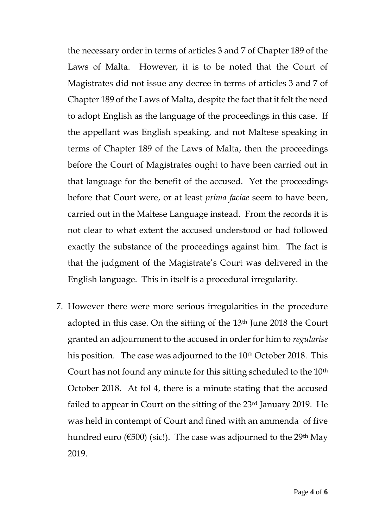the necessary order in terms of articles 3 and 7 of Chapter 189 of the Laws of Malta. However, it is to be noted that the Court of Magistrates did not issue any decree in terms of articles 3 and 7 of Chapter 189 of the Laws of Malta, despite the fact that it felt the need to adopt English as the language of the proceedings in this case. If the appellant was English speaking, and not Maltese speaking in terms of Chapter 189 of the Laws of Malta, then the proceedings before the Court of Magistrates ought to have been carried out in that language for the benefit of the accused. Yet the proceedings before that Court were, or at least *prima faciae* seem to have been, carried out in the Maltese Language instead. From the records it is not clear to what extent the accused understood or had followed exactly the substance of the proceedings against him. The fact is that the judgment of the Magistrate's Court was delivered in the English language. This in itself is a procedural irregularity.

7. However there were more serious irregularities in the procedure adopted in this case. On the sitting of the 13th June 2018 the Court granted an adjournment to the accused in order for him to *regularise* his position. The case was adjourned to the 10<sup>th</sup> October 2018. This Court has not found any minute for this sitting scheduled to the 10<sup>th</sup> October 2018. At fol 4, there is a minute stating that the accused failed to appear in Court on the sitting of the 23rd January 2019. He was held in contempt of Court and fined with an ammenda of five hundred euro ( $\epsilon$ 500) (sic!). The case was adjourned to the 29<sup>th</sup> May 2019.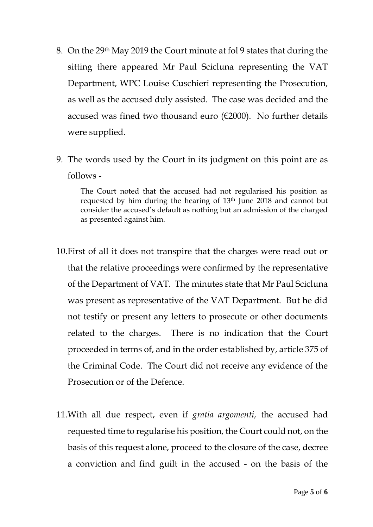- 8. On the 29th May 2019 the Court minute at fol 9 states that during the sitting there appeared Mr Paul Scicluna representing the VAT Department, WPC Louise Cuschieri representing the Prosecution, as well as the accused duly assisted. The case was decided and the accused was fined two thousand euro ( $\epsilon$ 2000). No further details were supplied.
- 9. The words used by the Court in its judgment on this point are as follows -

The Court noted that the accused had not regularised his position as requested by him during the hearing of 13th June 2018 and cannot but consider the accused's default as nothing but an admission of the charged as presented against him.

- 10.First of all it does not transpire that the charges were read out or that the relative proceedings were confirmed by the representative of the Department of VAT. The minutes state that Mr Paul Scicluna was present as representative of the VAT Department. But he did not testify or present any letters to prosecute or other documents related to the charges. There is no indication that the Court proceeded in terms of, and in the order established by, article 375 of the Criminal Code. The Court did not receive any evidence of the Prosecution or of the Defence.
- 11.With all due respect, even if *gratia argomenti,* the accused had requested time to regularise his position, the Court could not, on the basis of this request alone, proceed to the closure of the case, decree a conviction and find guilt in the accused - on the basis of the